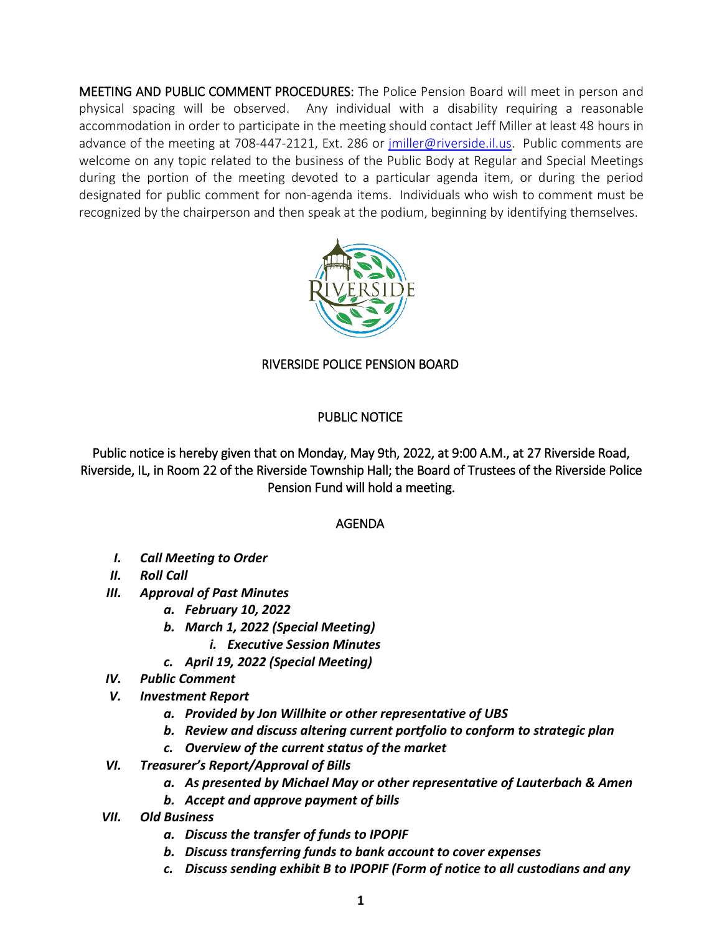MEETING AND PUBLIC COMMENT PROCEDURES: The Police Pension Board will meet in person and physical spacing will be observed. Any individual with a disability requiring a reasonable accommodation in order to participate in the meeting should contact Jeff Miller at least 48 hours in advance of the meeting at 708-447-2121, Ext. 286 or [jmiller@riverside.il.us.](mailto:jmiller@riverside.il.us) Public comments are welcome on any topic related to the business of the Public Body at Regular and Special Meetings during the portion of the meeting devoted to a particular agenda item, or during the period designated for public comment for non-agenda items. Individuals who wish to comment must be recognized by the chairperson and then speak at the podium, beginning by identifying themselves.



## RIVERSIDE POLICE PENSION BOARD

## PUBLIC NOTICE

Public notice is hereby given that on Monday, May 9th, 2022, at 9:00 A.M., at 27 Riverside Road, Riverside, IL, in Room 22 of the Riverside Township Hall; the Board of Trustees of the Riverside Police Pension Fund will hold a meeting.

## AGENDA

- *I. Call Meeting to Order*
- *II. Roll Call*
- *III. Approval of Past Minutes*
	- *a. February 10, 2022*
	- *b. March 1, 2022 (Special Meeting)*
		- *i. Executive Session Minutes*
	- *c. April 19, 2022 (Special Meeting)*
- *IV. Public Comment*
- *V. Investment Report*
	- *a. Provided by Jon Willhite or other representative of UBS*
	- *b. Review and discuss altering current portfolio to conform to strategic plan*
	- *c. Overview of the current status of the market*
- *VI. Treasurer's Report/Approval of Bills*
	- *a. As presented by Michael May or other representative of Lauterbach & Amen*
	- *b. Accept and approve payment of bills*
- *VII. Old Business*
	- *a. Discuss the transfer of funds to IPOPIF*
	- *b. Discuss transferring funds to bank account to cover expenses*
	- *c. Discuss sending exhibit B to IPOPIF (Form of notice to all custodians and any*